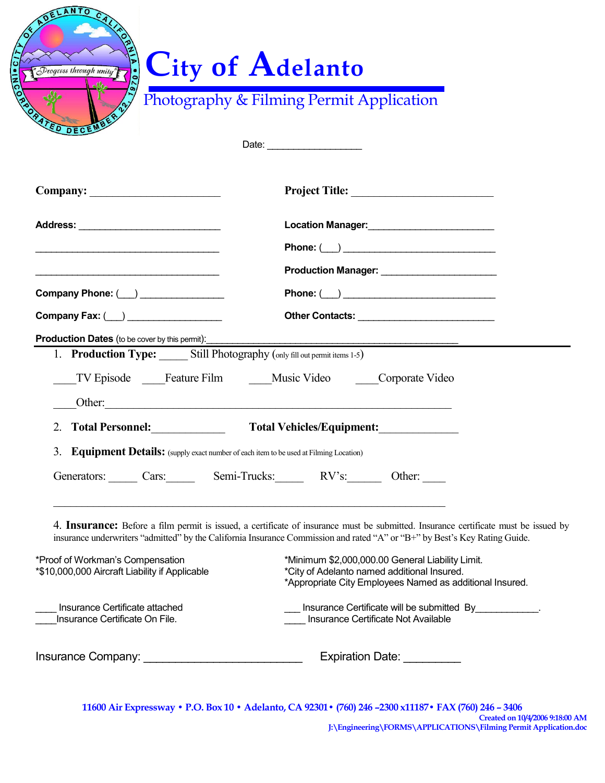| Drogress through unity"                                                                                        | <b>City of Adelanto</b><br>Photography & Filming Permit Application<br>Date: _________________________                                                                                                                                                                                    |
|----------------------------------------------------------------------------------------------------------------|-------------------------------------------------------------------------------------------------------------------------------------------------------------------------------------------------------------------------------------------------------------------------------------------|
|                                                                                                                |                                                                                                                                                                                                                                                                                           |
|                                                                                                                |                                                                                                                                                                                                                                                                                           |
|                                                                                                                | Location Manager:<br><u>Location Manager:</u>                                                                                                                                                                                                                                             |
|                                                                                                                |                                                                                                                                                                                                                                                                                           |
|                                                                                                                | Production Manager: _________________________                                                                                                                                                                                                                                             |
| Company Phone: (__) _______________                                                                            |                                                                                                                                                                                                                                                                                           |
|                                                                                                                |                                                                                                                                                                                                                                                                                           |
| Company Fax: ( ) _______________<br>1. Production Type: Still Photography (only fill out permit items 1-5)     | TV Episode Feature Film Music Video Corporate Video                                                                                                                                                                                                                                       |
| 2. Total Personnel:<br>3. Equipment Details: (supply exact number of each item to be used at Filming Location) | <b>Total Vehicles/Equipment:</b>                                                                                                                                                                                                                                                          |
|                                                                                                                | Generators: Cars: Cars: Semi-Trucks: RV's: Other:                                                                                                                                                                                                                                         |
| *Proof of Workman's Compensation<br>*\$10,000,000 Aircraft Liability if Applicable                             | insurance underwriters "admitted" by the California Insurance Commission and rated "A" or "B+" by Best's Key Rating Guide.<br>*Minimum \$2,000,000.00 General Liability Limit.<br>*City of Adelanto named additional Insured.<br>*Appropriate City Employees Named as additional Insured. |
| Insurance Certificate attached<br>Insurance Certificate On File.                                               | 4. Insurance: Before a film permit is issued, a certificate of insurance must be submitted. Insurance certificate must be issued by<br>Insurance Certificate will be submitted By ____________.<br>Insurance Certificate Not Available                                                    |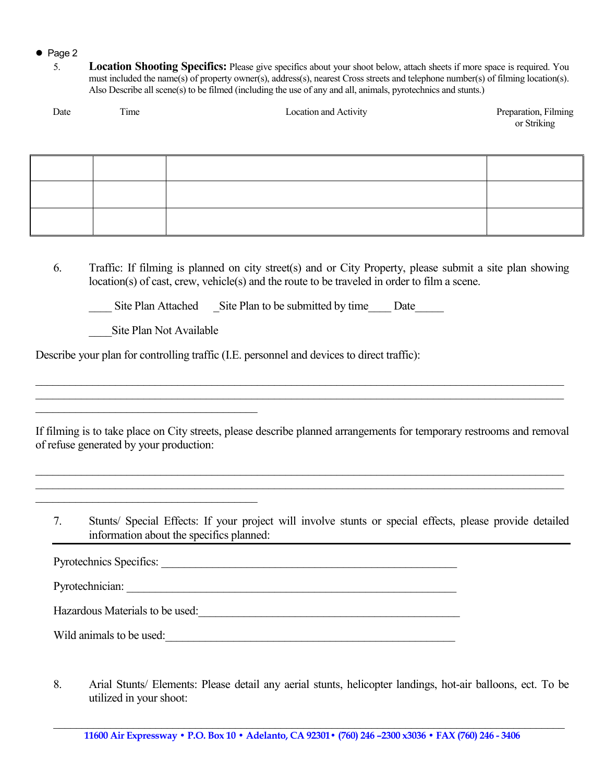## Page 2

5. **Location Shooting Specifics:** Please give specifics about your shoot below, attach sheets if more space is required. You must included the name(s) of property owner(s), address(s), nearest Cross streets and telephone number(s) of filming location(s). Also Describe all scene(s) to be filmed (including the use of any and all, animals, pyrotechnics and stunts.)

| Date | ime | Location and Activity | Preparation, Filming |
|------|-----|-----------------------|----------------------|
|      |     |                       | or Striking          |

6. Traffic: If filming is planned on city street(s) and or City Property, please submit a site plan showing location(s) of cast, crew, vehicle(s) and the route to be traveled in order to film a scene.

Site Plan Attached Site Plan to be submitted by time Date

\_\_\_\_Site Plan Not Available

 $\overline{\phantom{a}}$  , and the set of the set of the set of the set of the set of the set of the set of the set of the set of the set of the set of the set of the set of the set of the set of the set of the set of the set of the s

 $\overline{\phantom{a}}$  , and the set of the set of the set of the set of the set of the set of the set of the set of the set of the set of the set of the set of the set of the set of the set of the set of the set of the set of the s

Describe your plan for controlling traffic (I.E. personnel and devices to direct traffic):

If filming is to take place on City streets, please describe planned arrangements for temporary restrooms and removal of refuse generated by your production:

\_\_\_\_\_\_\_\_\_\_\_\_\_\_\_\_\_\_\_\_\_\_\_\_\_\_\_\_\_\_\_\_\_\_\_\_\_\_\_\_\_\_\_\_\_\_\_\_\_\_\_\_\_\_\_\_\_\_\_\_\_\_\_\_\_\_\_\_\_\_\_\_\_\_\_\_\_\_\_\_\_\_\_\_\_\_\_\_\_\_\_\_\_ \_\_\_\_\_\_\_\_\_\_\_\_\_\_\_\_\_\_\_\_\_\_\_\_\_\_\_\_\_\_\_\_\_\_\_\_\_\_\_\_\_\_\_\_\_\_\_\_\_\_\_\_\_\_\_\_\_\_\_\_\_\_\_\_\_\_\_\_\_\_\_\_\_\_\_\_\_\_\_\_\_\_\_\_\_\_\_\_\_\_\_\_\_

\_\_\_\_\_\_\_\_\_\_\_\_\_\_\_\_\_\_\_\_\_\_\_\_\_\_\_\_\_\_\_\_\_\_\_\_\_\_\_\_\_\_\_\_\_\_\_\_\_\_\_\_\_\_\_\_\_\_\_\_\_\_\_\_\_\_\_\_\_\_\_\_\_\_\_\_\_\_\_\_\_\_\_\_\_\_\_\_\_\_\_\_\_ \_\_\_\_\_\_\_\_\_\_\_\_\_\_\_\_\_\_\_\_\_\_\_\_\_\_\_\_\_\_\_\_\_\_\_\_\_\_\_\_\_\_\_\_\_\_\_\_\_\_\_\_\_\_\_\_\_\_\_\_\_\_\_\_\_\_\_\_\_\_\_\_\_\_\_\_\_\_\_\_\_\_\_\_\_\_\_\_\_\_\_\_\_

7. Stunts/ Special Effects: If your project will involve stunts or special effects, please provide detailed information about the specifics planned:

Pyrotechnics Specifics: \_\_\_\_\_\_\_\_\_\_\_\_\_\_\_\_\_\_\_\_\_\_\_\_\_\_\_\_\_\_\_\_\_\_\_\_\_\_\_\_\_\_\_\_\_\_\_\_\_\_\_\_

Pyrotechnician: \_\_\_\_\_\_\_\_\_\_\_\_\_\_\_\_\_\_\_\_\_\_\_\_\_\_\_\_\_\_\_\_\_\_\_\_\_\_\_\_\_\_\_\_\_\_\_\_\_\_\_\_\_\_\_\_\_\_

Hazardous Materials to be used:<br>

Wild animals to be used:

8. Arial Stunts/ Elements: Please detail any aerial stunts, helicopter landings, hot-air balloons, ect. To be utilized in your shoot: